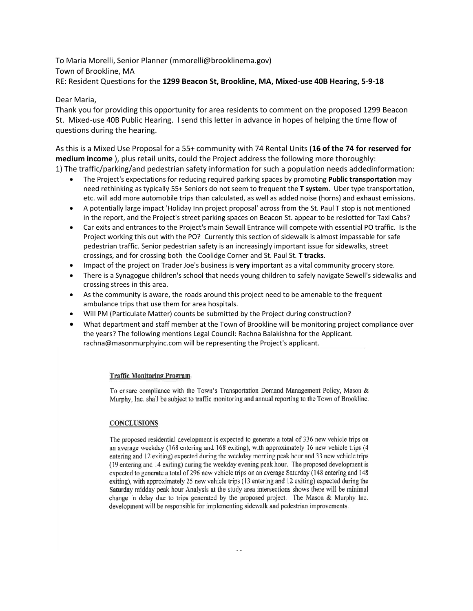To Maria Morelli, Senior Planner (mmorelli@brooklinema.gov) Town of Brookline, MA RE: Resident Questions for the **1299 Beacon St, Brookline, MA, Mixed-use 40B Hearing, 5-9-18**

## Dear Maria,

Thank you for providing this opportunity for area residents to comment on the proposed 1299 Beacon St. Mixed-use 40B Public Hearing. I send this letter in advance in hopes of helping the time flow of questions during the hearing.

As this is a Mixed Use Proposal for a 55+ community with 74 Rental Units (**16 of the 74 for reserved for medium income** ), plus retail units, could the Project address the following more thoroughly: 1) The traffic/parking/and pedestrian safety information for such a population needs addedinformation:

- The Project's expectations for reducing required parking spaces by promoting **Public transportation** may need rethinking as typically 55+ Seniors do not seem to frequent the **T system**. Uber type transportation, etc. will add more automobile trips than calculated, as well as added noise (horns) and exhaust emissions.
- A potentially large impact 'Holiday Inn project proposal' across from the St. Paul T stop is not mentioned in the report, and the Project's street parking spaces on Beacon St. appear to be reslotted for Taxi Cabs?
- Car exits and entrances to the Project's main Sewall Entrance will compete with essential PO traffic. Is the Project working this out with the PO? Currently this section of sidewalk is almost impassable for safe pedestrian traffic. Senior pedestrian safety is an increasingly important issue for sidewalks, street crossings, and for crossing both the Coolidge Corner and St. Paul St. **T tracks**.
- Impact of the project on Trader Joe's business is **very** important as a vital community grocery store.
- There is a Synagogue children's school that needs young children to safely navigate Sewell's sidewalks and crossing strees in this area.
- As the community is aware, the roads around this project need to be amenable to the frequent ambulance trips that use them for area hospitals.
- Will PM (Particulate Matter) counts be submitted by the Project during construction?
- What department and staff member at the Town of Brookline will be monitoring project compliance over the years? The following mentions Legal Council: Rachna Balakishna for the Applicant. rachna@masonmurphyinc.com will be representing the Project's applicant.

## **Traffic Monitoring Program**

To ensure compliance with the Town's Transportation Demand Management Policy, Mason & Murphy, Inc. shall be subject to traffic monitoring and annual reporting to the Town of Brookline.

## **CONCLUSIONS**

The proposed residential development is expected to generate a total of 336 new vehicle trips on an average weekday (168 entering and 168 exiting), with approximately 16 new vehicle trips (4 entering and 12 exiting) expected during the weekday morning peak hour and 33 new vehicle trips (19 entering and 14 exiting) during the weekday evening peak hour. The proposed development is expected to generate a total of 296 new vehicle trips on an average Saturday (148 entering and 148 exiting), with approximately 25 new vehicle trips (13 entering and 12 exiting) expected during the Saturday midday peak hour Analysis at the study area intersections shows there will be minimal change in delay due to trips generated by the proposed project. The Mason & Murphy Inc. development will be responsible for implementing sidewalk and pedestrian improvements.